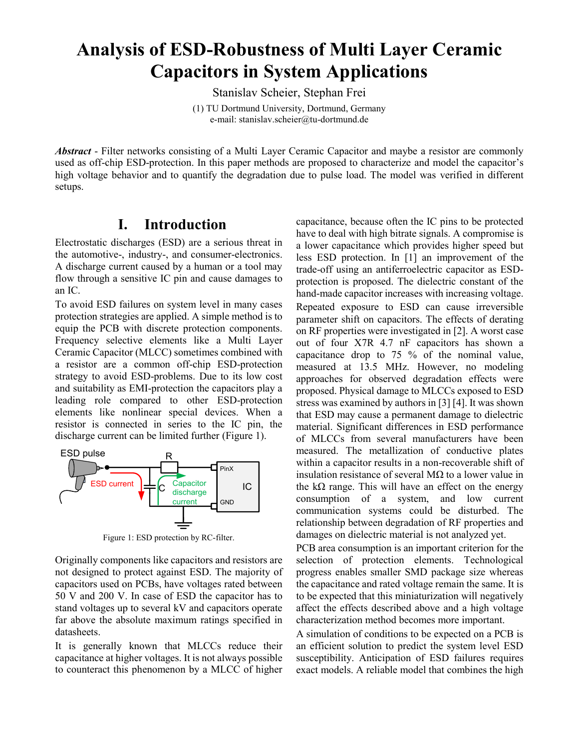# **Analysis of ESD-Robustness of Multi Layer Ceramic Capacitors in System Applications**

Stanislav Scheier, Stephan Frei

(1) TU Dortmund University, Dortmund, Germany e-mail: stanislav.scheier@tu-dortmund.de

*Abstract* - Filter networks consisting of a Multi Layer Ceramic Capacitor and maybe a resistor are commonly used as off-chip ESD-protection. In this paper methods are proposed to characterize and model the capacitor's high voltage behavior and to quantify the degradation due to pulse load. The model was verified in different setups.

## **I. Introduction**

Electrostatic discharges (ESD) are a serious threat in the automotive-, industry-, and consumer-electronics. A discharge current caused by a human or a tool may flow through a sensitive IC pin and cause damages to an IC.

To avoid ESD failures on system level in many cases protection strategies are applied. A simple method is to equip the PCB with discrete protection components. Frequency selective elements like a Multi Layer Ceramic Capacitor (MLCC) sometimes combined with a resistor are a common off-chip ESD-protection strategy to avoid ESD-problems. Due to its low cost and suitability as EMI-protection the capacitors play a leading role compared to other ESD-protection elements like nonlinear special devices. When a resistor is connected in series to the IC pin, the discharge current can be limited further [\(Figure 1\)](#page-0-0).



Figure 1: ESD protection by RC-filter.

<span id="page-0-0"></span>Originally components like capacitors and resistors are not designed to protect against ESD. The majority of capacitors used on PCBs, have voltages rated between 50 V and 200 V. In case of ESD the capacitor has to stand voltages up to several kV and capacitors operate far above the absolute maximum ratings specified in datasheets.

It is generally known that MLCCs reduce their capacitance at higher voltages. It is not always possible to counteract this phenomenon by a MLCC of higher capacitance, because often the IC pins to be protected have to deal with high bitrate signals. A compromise is a lower capacitance which provides higher speed but less ESD protection. In [\[1\]](#page-6-0) an improvement of the trade-off using an antiferroelectric capacitor as ESDprotection is proposed. The dielectric constant of the hand-made capacitor increases with increasing voltage. Repeated exposure to ESD can cause irreversible parameter shift on capacitors. The effects of derating on RF properties were investigated i[n \[2\].](#page-6-1) A worst case out of four X7R 4.7 nF capacitors has shown a capacitance drop to 75 % of the nominal value, measured at 13.5 MHz. However, no modeling approaches for observed degradation effects were proposed. Physical damage to MLCCs exposed to ESD stress was examined by authors i[n \[3\]](#page-6-2) [\[4\].](#page-6-3) It was shown that ESD may cause a permanent damage to dielectric material. Significant differences in ESD performance of MLCCs from several manufacturers have been measured. The metallization of conductive plates within a capacitor results in a non-recoverable shift of insulation resistance of several MΩ to a lower value in the kΩ range. This will have an effect on the energy consumption of a system, and low current communication systems could be disturbed. The relationship between degradation of RF properties and damages on dielectric material is not analyzed yet.

PCB area consumption is an important criterion for the selection of protection elements. Technological progress enables smaller SMD package size whereas the capacitance and rated voltage remain the same. It is to be expected that this miniaturization will negatively affect the effects described above and a high voltage characterization method becomes more important.

A simulation of conditions to be expected on a PCB is an efficient solution to predict the system level ESD susceptibility. Anticipation of ESD failures requires exact models. A reliable model that combines the high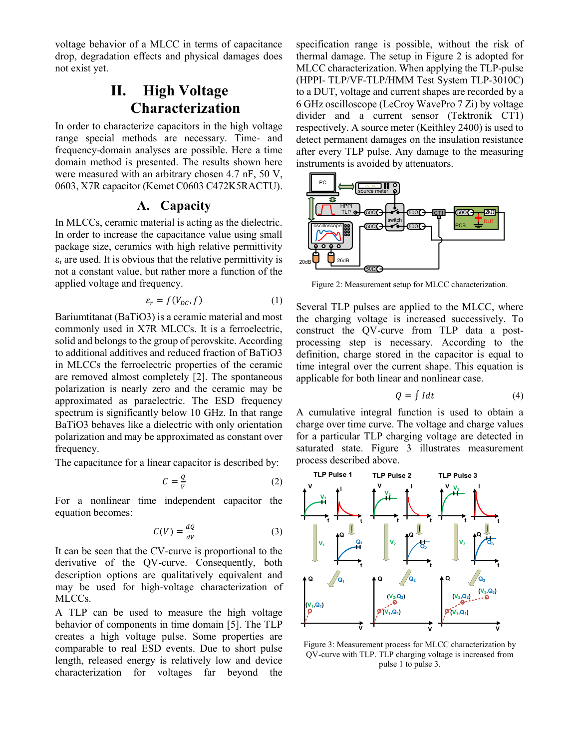voltage behavior of a MLCC in terms of capacitance drop, degradation effects and physical damages does not exist yet.

# **II. High Voltage Characterization**

In order to characterize capacitors in the high voltage range special methods are necessary. Time- and frequency-domain analyses are possible. Here a time domain method is presented. The results shown here were measured with an arbitrary chosen 4.7 nF, 50 V, 0603, X7R capacitor (Kemet C0603 C472K5RACTU).

#### **A. Capacity**

In MLCCs, ceramic material is acting as the dielectric. In order to increase the capacitance value using small package size, ceramics with high relative permittivity  $\epsilon_r$  are used. It is obvious that the relative permittivity is not a constant value, but rather more a function of the applied voltage and frequency.

$$
\varepsilon_r = f(V_{DC}, f) \tag{1}
$$

Bariumtitanat (BaTiO3) is a ceramic material and most commonly used in X7R MLCCs. It is a ferroelectric, solid and belongs to the group of perovskite. According to additional additives and reduced fraction of BaTiO3 in MLCCs the ferroelectric properties of the ceramic are removed almost completely [\[2\].](#page-6-1) The spontaneous polarization is nearly zero and the ceramic may be approximated as paraelectric. The ESD frequency spectrum is significantly below 10 GHz. In that range BaTiO3 behaves like a dielectric with only orientation polarization and may be approximated as constant over frequency.

The capacitance for a linear capacitor is described by:

$$
C = \frac{Q}{V} \tag{2}
$$

For a nonlinear time independent capacitor the equation becomes:

$$
C(V) = \frac{dQ}{dV} \tag{3}
$$

It can be seen that the CV-curve is proportional to the derivative of the QV-curve. Consequently, both description options are qualitatively equivalent and may be used for high-voltage characterization of MLCCs.

A TLP can be used to measure the high voltage behavior of components in time domain [\[5\].](#page-6-4) The TLP creates a high voltage pulse. Some properties are comparable to real ESD events. Due to short pulse length, released energy is relatively low and device characterization for voltages far beyond the specification range is possible, without the risk of thermal damage. The setup in [Figure 2](#page-1-0) is adopted for MLCC characterization. When applying the TLP-pulse (HPPI- TLP/VF-TLP/HMM Test System TLP-3010C) to a DUT, voltage and current shapes are recorded by a 6 GHz oscilloscope (LeCroy WavePro 7 Zi) by voltage divider and a current sensor (Tektronik CT1) respectively. A source meter (Keithley 2400) is used to detect permanent damages on the insulation resistance after every TLP pulse. Any damage to the measuring instruments is avoided by attenuators.



<span id="page-1-0"></span>Figure 2: Measurement setup for MLCC characterization.

Several TLP pulses are applied to the MLCC, where the charging voltage is increased successively. To construct the QV-curve from TLP data a postprocessing step is necessary. According to the definition, charge stored in the capacitor is equal to time integral over the current shape. This equation is applicable for both linear and nonlinear case.

$$
Q = \int I dt
$$
 (4)

A cumulative integral function is used to obtain a charge over time curve. The voltage and charge values for a particular TLP charging voltage are detected in saturated state. [Figure 3](#page-1-1) illustrates measurement process described above.



<span id="page-1-1"></span>Figure 3: Measurement process for MLCC characterization by QV-curve with TLP. TLP charging voltage is increased from pulse 1 to pulse 3.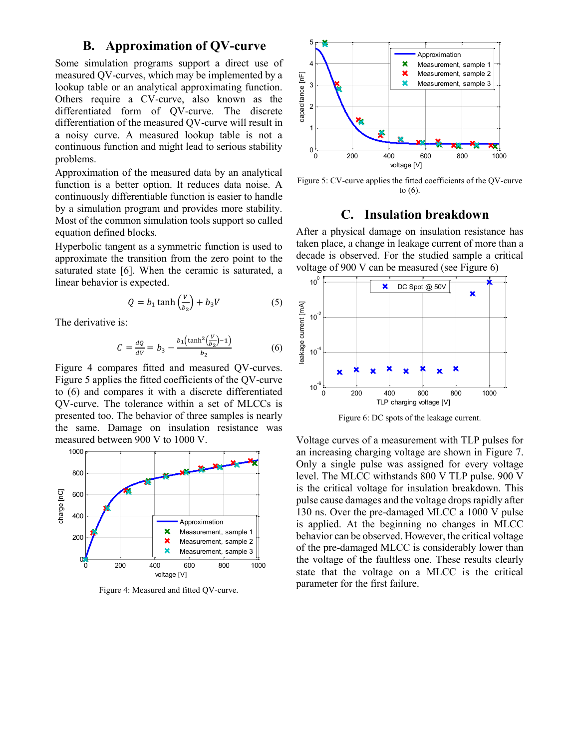#### **B. Approximation of QV-curve**

Some simulation programs support a direct use of measured QV-curves, which may be implemented by a lookup table or an analytical approximating function. Others require a CV-curve, also known as the differentiated form of QV-curve. The discrete differentiation of the measured QV-curve will result in a noisy curve. A measured lookup table is not a continuous function and might lead to serious stability problems.

Approximation of the measured data by an analytical function is a better option. It reduces data noise. A continuously differentiable function is easier to handle by a simulation program and provides more stability. Most of the common simulation tools support so called equation defined blocks.

Hyperbolic tangent as a symmetric function is used to approximate the transition from the zero point to the saturated state [\[6\].](#page-6-5) When the ceramic is saturated, a linear behavior is expected.

$$
Q = b_1 \tanh\left(\frac{v}{b_2}\right) + b_3 V \tag{5}
$$

The derivative is:

$$
C = \frac{dQ}{dV} = b_3 - \frac{b_1 \left(\tanh^2(\frac{V}{b_2}) - 1\right)}{b_2} \tag{6}
$$

[Figure 4](#page-2-0) compares fitted and measured QV-curves. [Figure 5](#page-2-1) applies the fitted coefficients of the QV-curve to (6) and compares it with a discrete differentiated QV-curve. The tolerance within a set of MLCCs is presented too. The behavior of three samples is nearly the same. Damage on insulation resistance was measured between 900 V to 1000 V.



<span id="page-2-0"></span>Figure 4: Measured and fitted QV-curve.



<span id="page-2-1"></span>Figure 5: CV-curve applies the fitted coefficients of the QV-curve to (6).

#### **C. Insulation breakdown**

After a physical damage on insulation resistance has taken place, a change in leakage current of more than a decade is observed. For the studied sample a critical voltage of 900 V can be measured (se[e Figure 6\)](#page-2-2)



Figure 6: DC spots of the leakage current.

<span id="page-2-2"></span>Voltage curves of a measurement with TLP pulses for an increasing charging voltage are shown in [Figure 7.](#page-3-0) Only a single pulse was assigned for every voltage level. The MLCC withstands 800 V TLP pulse. 900 V is the critical voltage for insulation breakdown. This pulse cause damages and the voltage drops rapidly after 130 ns. Over the pre-damaged MLCC a 1000 V pulse is applied. At the beginning no changes in MLCC behavior can be observed. However, the critical voltage of the pre-damaged MLCC is considerably lower than the voltage of the faultless one. These results clearly state that the voltage on a MLCC is the critical parameter for the first failure.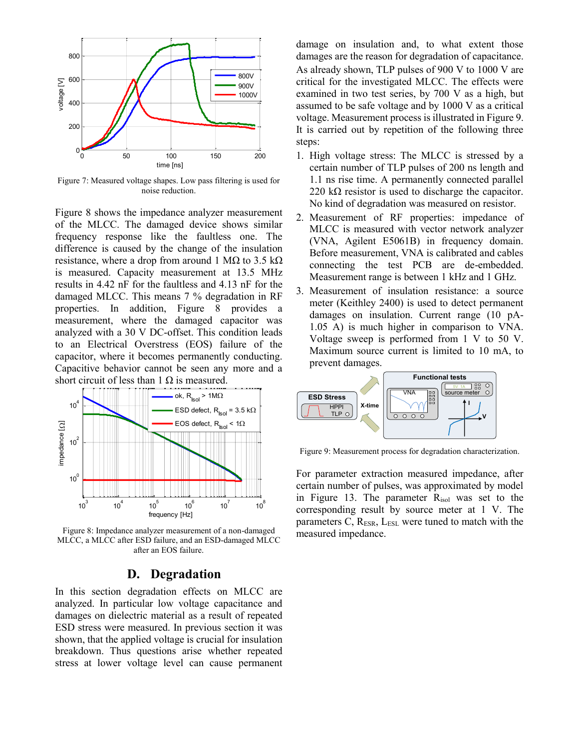

<span id="page-3-0"></span>Figure 7: Measured voltage shapes. Low pass filtering is used for noise reduction.

[Figure 8](#page-3-1) shows the impedance analyzer measurement of the MLCC. The damaged device shows similar frequency response like the faultless one. The difference is caused by the change of the insulation resistance, where a drop from around 1 M $\Omega$  to 3.5 k $\Omega$ is measured. Capacity measurement at 13.5 MHz results in 4.42 nF for the faultless and 4.13 nF for the damaged MLCC. This means 7 % degradation in RF properties. In addition, [Figure 8](#page-3-1) provides a measurement, where the damaged capacitor was analyzed with a 30 V DC-offset. This condition leads to an Electrical Overstress (EOS) failure of the capacitor, where it becomes permanently conducting. Capacitive behavior cannot be seen any more and a short circuit of less than 1  $\Omega$  is measured.



<span id="page-3-1"></span>Figure 8: Impedance analyzer measurement of a non-damaged MLCC, a MLCC after ESD failure, and an ESD-damaged MLCC after an EOS failure.

#### **D. Degradation**

<span id="page-3-3"></span>In this section degradation effects on MLCC are analyzed. In particular low voltage capacitance and damages on dielectric material as a result of repeated ESD stress were measured. In previous section it was shown, that the applied voltage is crucial for insulation breakdown. Thus questions arise whether repeated stress at lower voltage level can cause permanent damage on insulation and, to what extent those damages are the reason for degradation of capacitance. As already shown, TLP pulses of 900 V to 1000 V are critical for the investigated MLCC. The effects were examined in two test series, by 700 V as a high, but assumed to be safe voltage and by 1000 V as a critical voltage. Measurement process is illustrated i[n Figure 9.](#page-3-2) It is carried out by repetition of the following three steps:

- 1. High voltage stress: The MLCC is stressed by a certain number of TLP pulses of 200 ns length and 1.1 ns rise time. A permanently connected parallel 220 k $\Omega$  resistor is used to discharge the capacitor. No kind of degradation was measured on resistor.
- 2. Measurement of RF properties: impedance of MLCC is measured with vector network analyzer (VNA, Agilent E5061B) in frequency domain. Before measurement, VNA is calibrated and cables connecting the test PCB are de-embedded. Measurement range is between 1 kHz and 1 GHz.
- 3. Measurement of insulation resistance: a source meter (Keithley 2400) is used to detect permanent damages on insulation. Current range (10 pA-1.05 A) is much higher in comparison to VNA. Voltage sweep is performed from 1 V to 50 V. Maximum source current is limited to 10 mA, to prevent damages.



<span id="page-3-2"></span>Figure 9: Measurement process for degradation characterization.

For parameter extraction measured impedance, after certain number of pulses, was approximated by model in [Figure 13.](#page-5-0) The parameter Risol was set to the corresponding result by source meter at 1 V. The parameters C,  $R_{ESR}$ ,  $L_{ESL}$  were tuned to match with the measured impedance.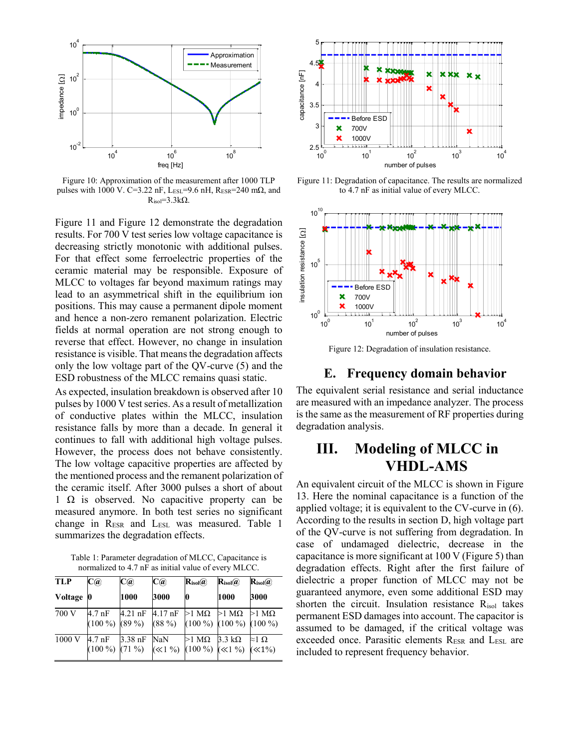

Figure 10: Approximation of the measurement after 1000 TLP pulses with 1000 V. C=3.22 nF, LESL=9.6 nH, RESR=240 m $\Omega$ , and  $R_{iso} = 3.3k\Omega$ .

[Figure 11](#page-4-0) and [Figure 12](#page-4-1) demonstrate the degradation results. For 700 V test series low voltage capacitance is decreasing strictly monotonic with additional pulses. For that effect some ferroelectric properties of the ceramic material may be responsible. Exposure of MLCC to voltages far beyond maximum ratings may lead to an asymmetrical shift in the equilibrium ion positions. This may cause a permanent dipole moment and hence a non-zero remanent polarization. Electric fields at normal operation are not strong enough to reverse that effect. However, no change in insulation resistance is visible. That means the degradation affects only the low voltage part of the QV-curve (5) and the ESD robustness of the MLCC remains quasi static.

As expected, insulation breakdown is observed after 10 pulses by 1000 V test series. As a result of metallization of conductive plates within the MLCC, insulation resistance falls by more than a decade. In general it continues to fall with additional high voltage pulses. However, the process does not behave consistently. The low voltage capacitive properties are affected by the mentioned process and the remanent polarization of the ceramic itself. After 3000 pulses a short of about 1  $\Omega$  is observed. No capacitive property can be measured anymore. In both test series no significant change in R<sub>ESR</sub> and L<sub>ESL</sub> was measured. [Table 1](#page-4-2) summarizes the degradation effects.

<span id="page-4-2"></span>Table 1: Parameter degradation of MLCC, Capacitance is normalized to 4.7 nF as initial value of every MLCC.

| <b>TLP</b> | $\mathbf{C}(\widehat{\bm{a}})$       | C(a)                 | C(a)     | $\mathbf{R}_{\text{isol}}(\widehat{\boldsymbol{a}})$              | $\mathbf{R}_{\text{isol}}(a)$ | $\mathbf{R}_{\text{isol}}(a)$ |
|------------|--------------------------------------|----------------------|----------|-------------------------------------------------------------------|-------------------------------|-------------------------------|
| Voltage    | Ю                                    | 1000                 | 3000     | 0                                                                 | 1000                          | 3000                          |
| 700 V      | 4.7 nF<br>$(100\%)$ $(89\%)$         | 4.21 nF $\,$ 4.17 nF | $(88\%)$ | $>1$ M $\Omega$ $>1$ M $\Omega$<br>$(100\%) (100\%) (100\%)$      |                               | $>1$ MQ                       |
| 1000V      | $4.7 \text{ nF}$<br>$(100\%) (71\%)$ | $3.38$ nF            | NaN      | $>1$ MQ 3.3 kQ<br>$(\ll 1\%)$ (100 %) ( $\ll 1\%$ ) ( $\ll 1\%$ ) |                               | $\approx$ 1 $\Omega$          |



<span id="page-4-0"></span>Figure 11: Degradation of capacitance. The results are normalized to 4.7 nF as initial value of every MLCC.



<span id="page-4-1"></span>Figure 12: Degradation of insulation resistance.

#### **E. Frequency domain behavior**

The equivalent serial resistance and serial inductance are measured with an impedance analyzer. The process is the same as the measurement of RF properties during degradation analysis.

# **III. Modeling of MLCC in VHDL-AMS**

An equivalent circuit of the MLCC is shown in [Figure](#page-5-0)  [13.](#page-5-0) Here the nominal capacitance is a function of the applied voltage; it is equivalent to the CV-curve in (6). According to the results in section [D,](#page-3-3) high voltage part of the QV-curve is not suffering from degradation. In case of undamaged dielectric, decrease in the capacitance is more significant at 100 V [\(Figure 5\)](#page-2-1) than degradation effects. Right after the first failure of dielectric a proper function of MLCC may not be guaranteed anymore, even some additional ESD may shorten the circuit. Insulation resistance Risol takes permanent ESD damages into account. The capacitor is assumed to be damaged, if the critical voltage was exceeded once. Parasitic elements RESR and LESL are included to represent frequency behavior.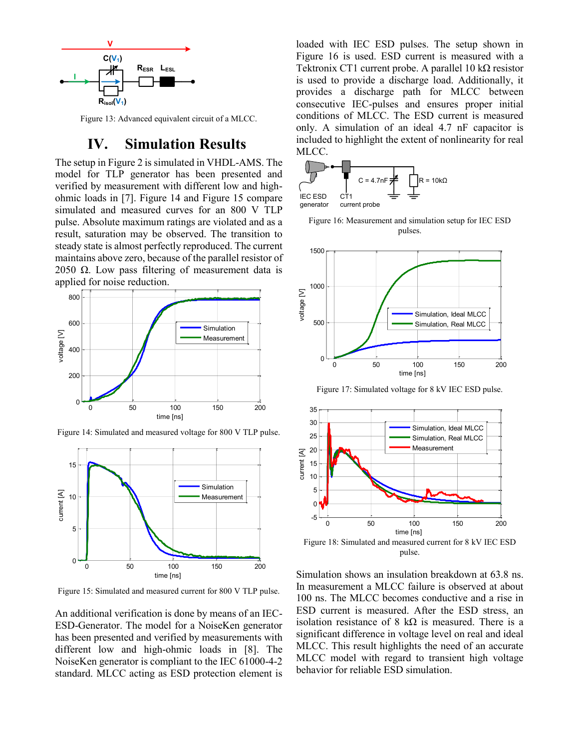

<span id="page-5-0"></span>Figure 13: Advanced equivalent circuit of a MLCC.

### **IV. Simulation Results**

The setup in [Figure 2](#page-1-0) is simulated in VHDL-AMS. The model for TLP generator has been presented and verified by measurement with different low and highohmic loads in [\[7\].](#page-6-6) [Figure 14](#page-5-1) and [Figure 15](#page-5-2) compare simulated and measured curves for an 800 V TLP pulse. Absolute maximum ratings are violated and as a result, saturation may be observed. The transition to steady state is almost perfectly reproduced. The current maintains above zero, because of the parallel resistor of 2050  $Ω$ . Low pass filtering of measurement data is applied for noise reduction.



<span id="page-5-1"></span>Figure 14: Simulated and measured voltage for 800 V TLP pulse.



<span id="page-5-2"></span>Figure 15: Simulated and measured current for 800 V TLP pulse.

An additional verification is done by means of an IEC-ESD-Generator. The model for a NoiseKen generator has been presented and verified by measurements with different low and high-ohmic loads in [\[8\].](#page-6-7) The NoiseKen generator is compliant to the IEC 61000-4-2 standard. MLCC acting as ESD protection element is loaded with IEC ESD pulses. The setup shown in [Figure 16](#page-5-3) is used. ESD current is measured with a Tektronix CT1 current probe. A parallel 10 kΩ resistor is used to provide a discharge load. Additionally, it provides a discharge path for MLCC between consecutive IEC-pulses and ensures proper initial conditions of MLCC. The ESD current is measured only. A simulation of an ideal 4.7 nF capacitor is included to highlight the extent of nonlinearity for real MLCC.



<span id="page-5-3"></span>Figure 16: Measurement and simulation setup for IEC ESD pulses.



Figure 17: Simulated voltage for 8 kV IEC ESD pulse.



Simulation shows an insulation breakdown at 63.8 ns. In measurement a MLCC failure is observed at about 100 ns. The MLCC becomes conductive and a rise in ESD current is measured. After the ESD stress, an isolation resistance of 8 k $\Omega$  is measured. There is a significant difference in voltage level on real and ideal MLCC. This result highlights the need of an accurate MLCC model with regard to transient high voltage behavior for reliable ESD simulation.